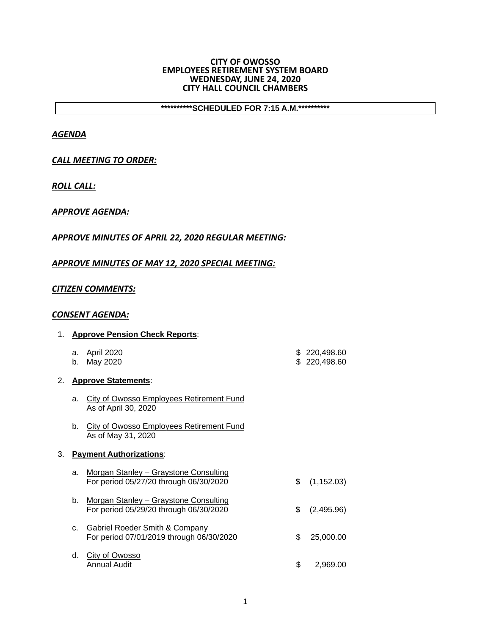#### **CITY OF OWOSSO EMPLOYEES RETIREMENT SYSTEM BOARD WEDNESDAY, JUNE 24, 2020 CITY HALL COUNCIL CHAMBERS**

**\*\*\*\*\*\*\*\*\*\*SCHEDULED FOR 7:15 A.M.\*\*\*\*\*\*\*\*\*\*** 

## *AGENDA*

## *CALL MEETING TO ORDER:*

*ROLL CALL:*

### *APPROVE AGENDA:*

# *APPROVE MINUTES OF APRIL 22, 2020 REGULAR MEETING:*

### *APPROVE MINUTES OF MAY 12, 2020 SPECIAL MEETING:*

### *CITIZEN COMMENTS:*

### *CONSENT AGENDA:*

|    |          | 1. Approve Pension Check Reports:                                                     |                              |
|----|----------|---------------------------------------------------------------------------------------|------------------------------|
|    | a.<br>b. | April 2020<br>May 2020                                                                | \$220,498.60<br>\$220,498.60 |
|    |          | 2. Approve Statements:                                                                |                              |
|    | a.       | <b>City of Owosso Employees Retirement Fund</b><br>As of April 30, 2020               |                              |
|    | b.       | <b>City of Owosso Employees Retirement Fund</b><br>As of May 31, 2020                 |                              |
| 3. |          | <b>Payment Authorizations:</b>                                                        |                              |
|    | a.       | Morgan Stanley - Graystone Consulting<br>For period 05/27/20 through 06/30/2020       | \$<br>(1, 152.03)            |
|    | $b_{1}$  | Morgan Stanley - Graystone Consulting<br>For period 05/29/20 through 06/30/2020       | \$<br>(2,495.96)             |
|    | C.       | <b>Gabriel Roeder Smith &amp; Company</b><br>For period 07/01/2019 through 06/30/2020 | \$<br>25,000.00              |
|    | d.       | City of Owosso<br>Annual Audit                                                        | \$<br>2.969.00               |